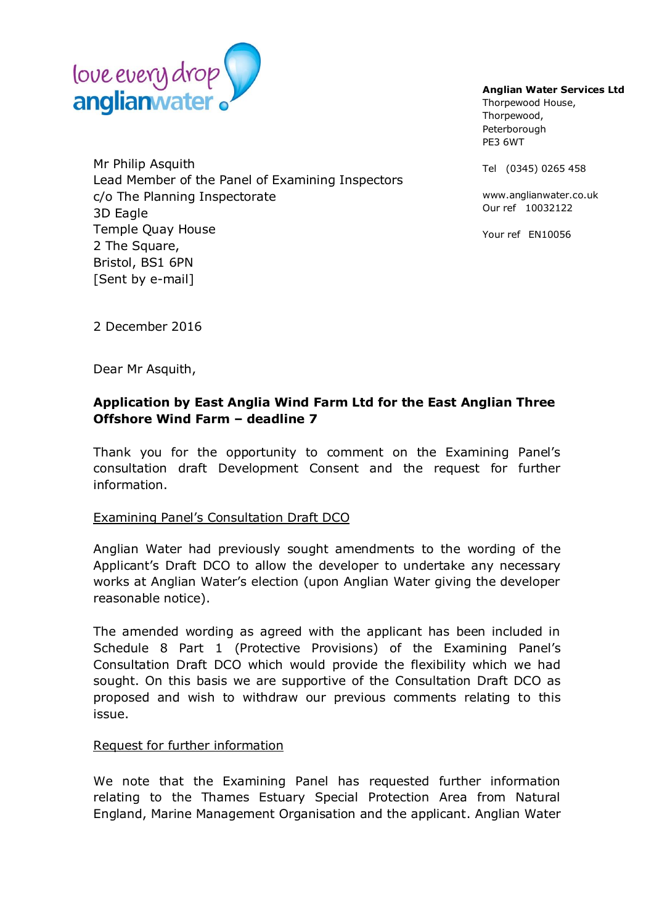

Mr Philip Asquith Lead Member of the Panel of Examining Inspectors c/o The Planning Inspectorate 3D Eagle Temple Quay House 2 The Square, Bristol, BS1 6PN [Sent by e-mail]

## **Anglian Water Services Ltd**

Thorpewood House, Thorpewood, Peterborough PE3 6WT

Tel (0345) 0265 458

www.anglianwater.co.uk Our ref 10032122

Your ref EN10056

2 December 2016

Dear Mr Asquith,

## **Application by East Anglia Wind Farm Ltd for the East Anglian Three Offshore Wind Farm – deadline 7**

Thank you for the opportunity to comment on the Examining Panel's consultation draft Development Consent and the request for further information.

## Examining Panel's Consultation Draft DCO

Anglian Water had previously sought amendments to the wording of the Applicant's Draft DCO to allow the developer to undertake any necessary works at Anglian Water's election (upon Anglian Water giving the developer reasonable notice).

The amended wording as agreed with the applicant has been included in Schedule 8 Part 1 (Protective Provisions) of the Examining Panel's Consultation Draft DCO which would provide the flexibility which we had sought. On this basis we are supportive of the Consultation Draft DCO as proposed and wish to withdraw our previous comments relating to this issue.

## Request for further information

We note that the Examining Panel has requested further information relating to the Thames Estuary Special Protection Area from Natural England, Marine Management Organisation and the applicant. Anglian Water